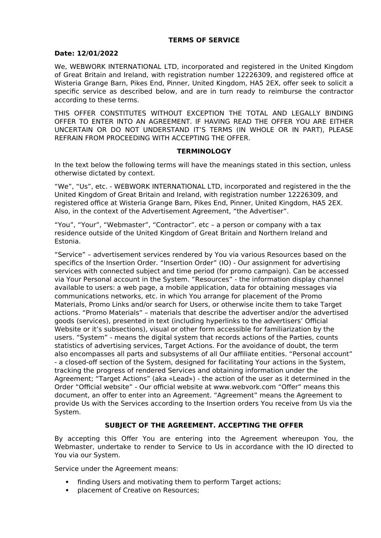## **TERMS OF SERVICE**

#### **Date: 12/01/2022**

We, WEBWORK INTERNATIONAL LTD, incorporated and registered in the United Kingdom of Great Britain and Ireland, with registration number 12226309, and registered office at Wisteria Grange Barn, Pikes End, Pinner, United Kingdom, HA5 2EX, offer seek to solicit a specific service as described below, and are in turn ready to reimburse the contractor according to these terms.

THIS OFFER CONSTITUTES WITHOUT EXCEPTION THE TOTAL AND LEGALLY BINDING OFFER TO ENTER INTO AN AGREEMENT. IF HAVING READ THE OFFER YOU ARE EITHER UNCERTAIN OR DO NOT UNDERSTAND IT'S TERMS (IN WHOLE OR IN PART), PLEASE REFRAIN FROM PROCEEDING WITH ACCEPTING THE OFFER.

### **TERMINOLOGY**

In the text below the following terms will have the meanings stated in this section, unless otherwise dictated by context.

"We", "Us", etc. - WEBWORK INTERNATIONAL LTD, incorporated and registered in the the United Kingdom of Great Britain and Ireland, with registration number 12226309, and registered office at Wisteria Grange Barn, Pikes End, Pinner, United Kingdom, HA5 2EX. Also, in the context of the Advertisement Agreement, "the Advertiser".

"You", "Your", "Webmaster", "Contractor". etc – a person or company with a tax residence outside of the United Kingdom of Great Britain and Northern Ireland and Estonia.

"Service" – advertisement services rendered by You via various Resources based on the specifics of the Insertion Order. "Insertion Order" (IO) - Our assignment for advertising services with connected subject and time period (for promo campaign). Can be accessed via Your Personal account in the System. "Resources" - the information display channel available to users: a web page, a mobile application, data for obtaining messages via communications networks, etc. in which You arrange for placement of the Promo Materials, Promo Links and/or search for Users, or otherwise incite them to take Target actions. "Promo Materials" – materials that describe the advertiser and/or the advertised goods (services), presented in text (including hyperlinks to the advertisers' Official Website or it's subsections), visual or other form accessible for familiarization by the users. "System" - means the digital system that records actions of the Parties, counts statistics of advertising services, Target Actions. For the avoidance of doubt, the term also encompasses all parts and subsystems of all Our affiliate entities. "Personal account" - a closed-off section of the System, designed for facilitating Your actions in the System, tracking the progress of rendered Services and obtaining information under the Agreement; "Target Actions" (aka «Lead») - the action of the user as it determined in the Order "Official website" - Our official website at www.webvork.com "Offer" means this document, an offer to enter into an Agreement. "Agreement" means the Agreement to provide Us with the Services according to the Insertion orders You receive from Us via the System.

## **SUBJECT OF THE AGREEMENT. ACCEPTING THE OFFER**

By accepting this Offer You are entering into the Agreement whereupon You, the Webmaster, undertake to render to Service to Us in accordance with the IO directed to You via our System.

Service under the Agreement means:

- finding Users and motivating them to perform Target actions;
- placement of Creative on Resources;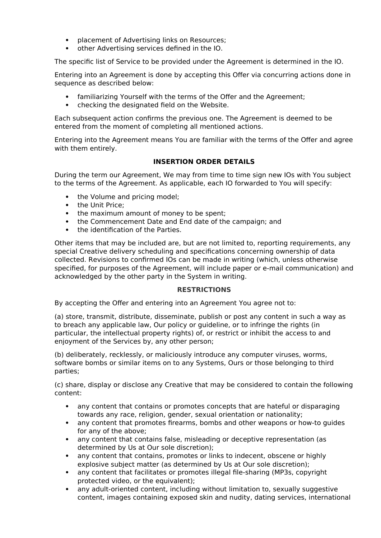- placement of Advertising links on Resources:
- other Advertising services defined in the IO.

The specific list of Service to be provided under the Agreement is determined in the IO.

Entering into an Agreement is done by accepting this Offer via concurring actions done in sequence as described below:

- familiarizing Yourself with the terms of the Offer and the Agreement;
- checking the designated field on the Website.

Each subsequent action confirms the previous one. The Agreement is deemed to be entered from the moment of completing all mentioned actions.

Entering into the Agreement means You are familiar with the terms of the Offer and agree with them entirely.

# **INSERTION ORDER DETAILS**

During the term our Agreement, We may from time to time sign new IOs with You subject to the terms of the Agreement. As applicable, each IO forwarded to You will specify:

- the Volume and pricing model;
- the Unit Price:
- the maximum amount of money to be spent;
- the Commencement Date and End date of the campaign; and
- the identification of the Parties.

Other items that may be included are, but are not limited to, reporting requirements, any special Creative delivery scheduling and specifications concerning ownership of data collected. Revisions to confirmed IOs can be made in writing (which, unless otherwise specified, for purposes of the Agreement, will include paper or e-mail communication) and acknowledged by the other party in the System in writing.

## **RESTRICTIONS**

By accepting the Offer and entering into an Agreement You agree not to:

(a) store, transmit, distribute, disseminate, publish or post any content in such a way as to breach any applicable law, Our policy or guideline, or to infringe the rights (in particular, the intellectual property rights) of, or restrict or inhibit the access to and enjoyment of the Services by, any other person;

(b) deliberately, recklessly, or maliciously introduce any computer viruses, worms, software bombs or similar items on to any Systems, Ours or those belonging to third parties;

(c) share, display or disclose any Creative that may be considered to contain the following content:

- any content that contains or promotes concepts that are hateful or disparaging towards any race, religion, gender, sexual orientation or nationality;
- any content that promotes firearms, bombs and other weapons or how-to guides for any of the above;
- any content that contains false, misleading or deceptive representation (as determined by Us at Our sole discretion);
- any content that contains, promotes or links to indecent, obscene or highly explosive subject matter (as determined by Us at Our sole discretion);
- any content that facilitates or promotes illegal file-sharing (MP3s, copyright protected video, or the equivalent);
- any adult-oriented content, including without limitation to, sexually suggestive content, images containing exposed skin and nudity, dating services, international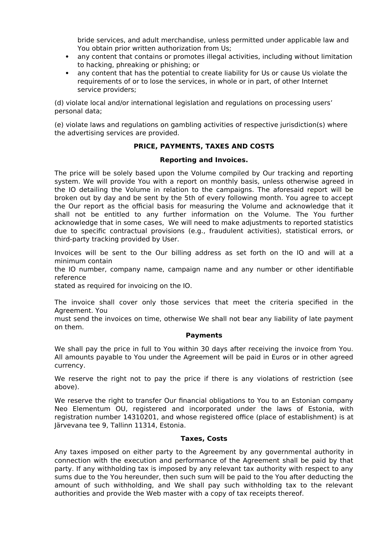bride services, and adult merchandise, unless permitted under applicable law and You obtain prior written authorization from Us;

- any content that contains or promotes illegal activities, including without limitation to hacking, phreaking or phishing; or
- any content that has the potential to create liability for Us or cause Us violate the requirements of or to lose the services, in whole or in part, of other Internet service providers;

(d) violate local and/or international legislation and regulations on processing users' personal data;

(e) violate laws and regulations on gambling activities of respective jurisdiction(s) where the advertising services are provided.

# **PRICE, PAYMENTS, TAXES AND COSTS**

### **Reporting and Invoices.**

The price will be solely based upon the Volume compiled by Our tracking and reporting system. We will provide You with a report on monthly basis, unless otherwise agreed in the IO detailing the Volume in relation to the campaigns. The aforesaid report will be broken out by day and be sent by the 5th of every following month. You agree to accept the Our report as the official basis for measuring the Volume and acknowledge that it shall not be entitled to any further information on the Volume. The You further acknowledge that in some cases, We will need to make adjustments to reported statistics due to specific contractual provisions (e.g., fraudulent activities), statistical errors, or third-party tracking provided by User.

Invoices will be sent to the Our billing address as set forth on the IO and will at a minimum contain

the IO number, company name, campaign name and any number or other identifiable reference

stated as required for invoicing on the IO.

The invoice shall cover only those services that meet the criteria specified in the Agreement. You

must send the invoices on time, otherwise We shall not bear any liability of late payment on them.

#### **Payments**

We shall pay the price in full to You within 30 days after receiving the invoice from You. All amounts payable to You under the Agreement will be paid in Euros or in other agreed currency.

We reserve the right not to pay the price if there is any violations of restriction (see above).

We reserve the right to transfer Our financial obligations to You to an Estonian company Neo Elementum OU, registered and incorporated under the laws of Estonia, with registration number 14310201, and whose registered office (place of establishment) is at Järvevana tee 9, Tallinn 11314, Estonia.

#### **Taxes, Costs**

Any taxes imposed on either party to the Agreement by any governmental authority in connection with the execution and performance of the Agreement shall be paid by that party. If any withholding tax is imposed by any relevant tax authority with respect to any sums due to the You hereunder, then such sum will be paid to the You after deducting the amount of such withholding, and We shall pay such withholding tax to the relevant authorities and provide the Web master with a copy of tax receipts thereof.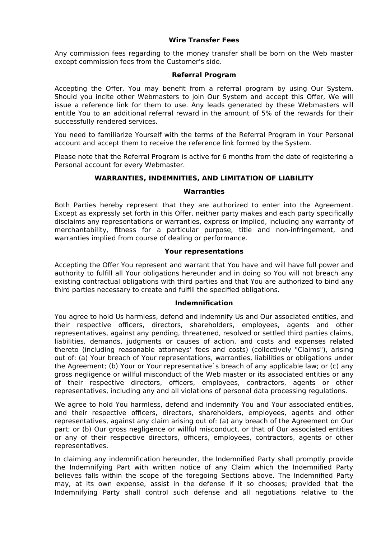## **Wire Transfer Fees**

Any commission fees regarding to the money transfer shall be born on the Web master except commission fees from the Customer's side.

### **Referral Program**

Accepting the Offer, You may benefit from a referral program by using Our System. Should you incite other Webmasters to join Our System and accept this Offer, We will issue a reference link for them to use. Any leads generated by these Webmasters will entitle You to an additional referral reward in the amount of 5% of the rewards for their successfully rendered services.

You need to familiarize Yourself with the terms of the Referral Program in Your Personal account and accept them to receive the reference link formed by the System.

Please note that the Referral Program is active for 6 months from the date of registering a Personal account for every Webmaster.

# **WARRANTIES, INDEMNITIES, AND LIMITATION OF LIABILITY**

### **Warranties**

Both Parties hereby represent that they are authorized to enter into the Agreement. Except as expressly set forth in this Offer, neither party makes and each party specifically disclaims any representations or warranties, express or implied, including any warranty of merchantability, fitness for a particular purpose, title and non-infringement, and warranties implied from course of dealing or performance.

### **Your representations**

Accepting the Offer You represent and warrant that You have and will have full power and authority to fulfill all Your obligations hereunder and in doing so You will not breach any existing contractual obligations with third parties and that You are authorized to bind any third parties necessary to create and fulfill the specified obligations.

#### **Indemnification**

You agree to hold Us harmless, defend and indemnify Us and Our associated entities, and their respective officers, directors, shareholders, employees, agents and other representatives, against any pending, threatened, resolved or settled third parties claims, liabilities, demands, judgments or causes of action, and costs and expenses related thereto (including reasonable attorneys' fees and costs) (collectively "Claims"), arising out of: (a) Your breach of Your representations, warranties, liabilities or obligations under the Agreement; (b) Your or Your representative`s breach of any applicable law; or (c) any gross negligence or willful misconduct of the Web master or its associated entities or any of their respective directors, officers, employees, contractors, agents or other representatives, including any and all violations of personal data processing regulations.

We agree to hold You harmless, defend and indemnify You and Your associated entities, and their respective officers, directors, shareholders, employees, agents and other representatives, against any claim arising out of: (a) any breach of the Agreement on Our part; or (b) Our gross negligence or willful misconduct, or that of Our associated entities or any of their respective directors, officers, employees, contractors, agents or other representatives.

In claiming any indemnification hereunder, the Indemnified Party shall promptly provide the Indemnifying Part with written notice of any Claim which the Indemnified Party believes falls within the scope of the foregoing Sections above. The Indemnified Party may, at its own expense, assist in the defense if it so chooses; provided that the Indemnifying Party shall control such defense and all negotiations relative to the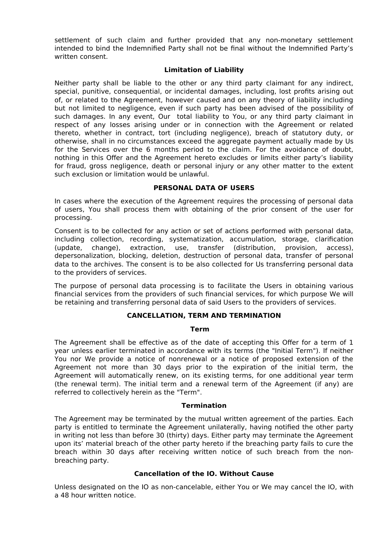settlement of such claim and further provided that any non-monetary settlement intended to bind the Indemnified Party shall not be final without the Indemnified Party's written consent.

## **Limitation of Liability**

Neither party shall be liable to the other or any third party claimant for any indirect, special, punitive, consequential, or incidental damages, including, lost profits arising out of, or related to the Agreement, however caused and on any theory of liability including but not limited to negligence, even if such party has been advised of the possibility of such damages. In any event, Our total liability to You, or any third party claimant in respect of any losses arising under or in connection with the Agreement or related thereto, whether in contract, tort (including negligence), breach of statutory duty, or otherwise, shall in no circumstances exceed the aggregate payment actually made by Us for the Services over the 6 months period to the claim. For the avoidance of doubt, nothing in this Offer and the Agreement hereto excludes or limits either party's liability for fraud, gross negligence, death or personal injury or any other matter to the extent such exclusion or limitation would be unlawful.

# **PERSONAL DATA OF USERS**

In cases where the execution of the Agreement requires the processing of personal data of users, You shall process them with obtaining of the prior consent of the user for processing.

Consent is to be collected for any action or set of actions performed with personal data, including collection, recording, systematization, accumulation, storage, clarification (update, change), extraction, use, transfer (distribution, provision, access), depersonalization, blocking, deletion, destruction of personal data, transfer of personal data to the archives. The consent is to be also collected for Us transferring personal data to the providers of services.

The purpose of personal data processing is to facilitate the Users in obtaining various financial services from the providers of such financial services, for which purpose We will be retaining and transferring personal data of said Users to the providers of services.

## **CANCELLATION, TERM AND TERMINATION**

#### **Term**

The Agreement shall be effective as of the date of accepting this Offer for a term of 1 year unless earlier terminated in accordance with its terms (the "Initial Term"). If neither You nor We provide a notice of nonrenewal or a notice of proposed extension of the Agreement not more than 30 days prior to the expiration of the initial term, the Agreement will automatically renew, on its existing terms, for one additional year term (the renewal term). The initial term and a renewal term of the Agreement (if any) are referred to collectively herein as the "Term".

## **Termination**

The Agreement may be terminated by the mutual written agreement of the parties. Each party is entitled to terminate the Agreement unilaterally, having notified the other party in writing not less than before 30 (thirty) days. Either party may terminate the Agreement upon its' material breach of the other party hereto if the breaching party fails to cure the breach within 30 days after receiving written notice of such breach from the nonbreaching party.

## **Cancellation of the IO. Without Cause**

Unless designated on the IO as non-cancelable, either You or We may cancel the IO, with a 48 hour written notice.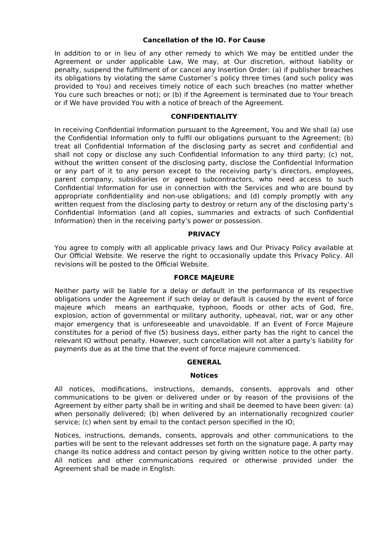### **Cancellation of the IO. For Cause**

In addition to or in lieu of any other remedy to which We may be entitled under the Agreement or under applicable Law, We may, at Our discretion, without liability or penalty, suspend the fulfillment of or cancel any Insertion Order: (a) if publisher breaches its obligations by violating the same Customer`s policy three times (and such policy was provided to You) and receives timely notice of each such breaches (no matter whether You cure such breaches or not); or (b) if the Agreement is terminated due to Your breach or if We have provided You with a notice of breach of the Agreement.

## **CONFIDENTIALITY**

In receiving Confidential Information pursuant to the Agreement, You and We shall (a) use the Confidential Information only to fulfil our obligations pursuant to the Agreement; (b) treat all Confidential Information of the disclosing party as secret and confidential and shall not copy or disclose any such Confidential Information to any third party; (c) not, without the written consent of the disclosing party, disclose the Confidential Information or any part of it to any person except to the receiving party's directors, employees, parent company, subsidiaries or agreed subcontractors, who need access to such Confidential Information for use in connection with the Services and who are bound by appropriate confidentiality and non-use obligations; and (d) comply promptly with any written request from the disclosing party to destroy or return any of the disclosing party's Confidential Information (and all copies, summaries and extracts of such Confidential Information) then in the receiving party's power or possession.

### **PRIVACY**

You agree to comply with all applicable privacy laws and Our Privacy Policy available at Our Official Website. We reserve the right to occasionally update this Privacy Policy. All revisions will be posted to the Official Website.

#### **FORCE MAJEURE**

Neither party will be liable for a delay or default in the performance of its respective obligations under the Agreement if such delay or default is caused by the event of force majeure which means an earthquake, typhoon, floods or other acts of God, fire, explosion, action of governmental or military authority, upheaval, riot, war or any other major emergency that is unforeseeable and unavoidable. If an Event of Force Majeure constitutes for a period of five (5) business days, either party has the right to cancel the relevant IO without penalty. However, such cancellation will not alter a party's liability for payments due as at the time that the event of force majeure commenced.

#### **GENERAL**

#### **Notices**

All notices, modifications, instructions, demands, consents, approvals and other communications to be given or delivered under or by reason of the provisions of the Agreement by either party shall be in writing and shall be deemed to have been given: (a) when personally delivered; (b) when delivered by an internationally recognized courier service; (c) when sent by email to the contact person specified in the IO;

Notices, instructions, demands, consents, approvals and other communications to the parties will be sent to the relevant addresses set forth on the signature page. A party may change its notice address and contact person by giving written notice to the other party. All notices and other communications required or otherwise provided under the Agreement shall be made in English.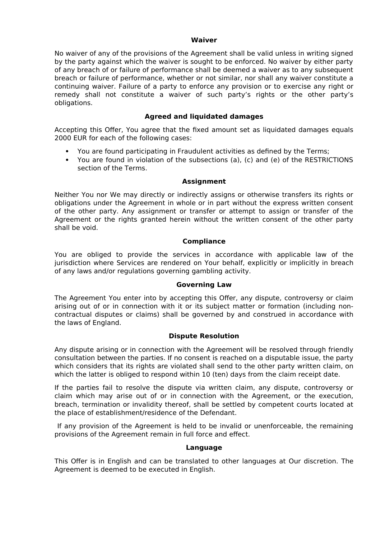#### **Waiver**

No waiver of any of the provisions of the Agreement shall be valid unless in writing signed by the party against which the waiver is sought to be enforced. No waiver by either party of any breach of or failure of performance shall be deemed a waiver as to any subsequent breach or failure of performance, whether or not similar, nor shall any waiver constitute a continuing waiver. Failure of a party to enforce any provision or to exercise any right or remedy shall not constitute a waiver of such party's rights or the other party's obligations.

# **Agreed and liquidated damages**

Accepting this Offer, You agree that the fixed amount set as liquidated damages equals 2000 EUR for each of the following cases:

- You are found participating in Fraudulent activities as defined by the Terms;
- You are found in violation of the subsections (a), (c) and (e) of the RESTRICTIONS section of the Terms.

## **Assignment**

Neither You nor We may directly or indirectly assigns or otherwise transfers its rights or obligations under the Agreement in whole or in part without the express written consent of the other party. Any assignment or transfer or attempt to assign or transfer of the Agreement or the rights granted herein without the written consent of the other party shall be void.

## **Compliance**

You are obliged to provide the services in accordance with applicable law of the jurisdiction where Services are rendered on Your behalf, explicitly or implicitly in breach of any laws and/or regulations governing gambling activity.

## **Governing Law**

The Agreement You enter into by accepting this Offer, any dispute, controversy or claim arising out of or in connection with it or its subject matter or formation (including noncontractual disputes or claims) shall be governed by and construed in accordance with the laws of England.

## **Dispute Resolution**

Any dispute arising or in connection with the Agreement will be resolved through friendly consultation between the parties. If no consent is reached on a disputable issue, the party which considers that its rights are violated shall send to the other party written claim, on which the latter is obliged to respond within 10 (ten) days from the claim receipt date.

If the parties fail to resolve the dispute via written claim, any dispute, controversy or claim which may arise out of or in connection with the Agreement, or the execution, breach, termination or invalidity thereof, shall be settled by competent courts located at the place of establishment/residence of the Defendant.

 If any provision of the Agreement is held to be invalid or unenforceable, the remaining provisions of the Agreement remain in full force and effect.

#### **Language**

This Offer is in English and can be translated to other languages at Our discretion. The Agreement is deemed to be executed in English.